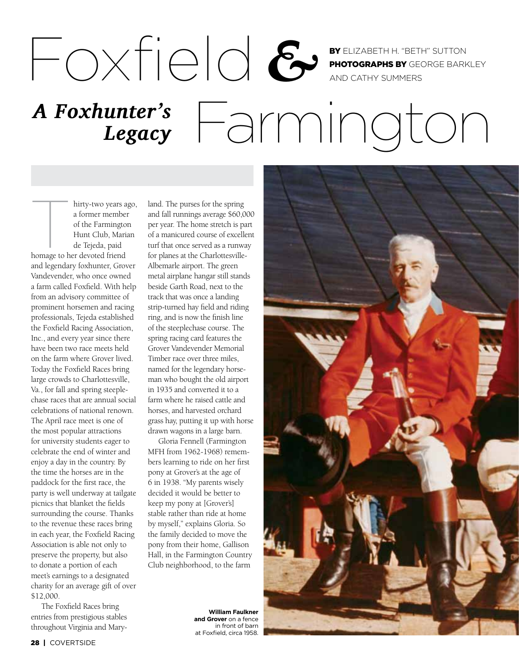BY ELIZABETH H. "BETH" SUTTON PHOTOGRAPHS BY GEORGE BARKLEY AND CATHY SUMMERS

## A Foxhunter's  $\sqrt{\frac{1}{2}}$   $\sqrt{\frac{1}{2}}$ *Legacy*

hirty-two years ago,<br>
a former member<br>
of the Farmington<br>
Hunt Club, Marian<br>
de Tejeda, paid<br>
homage to her devoted friend a former member of the Farmington Hunt Club, Marian de Tejeda, paid

and legendary foxhunter, Grover Vandevender, who once owned a farm called Foxfield. With help from an advisory committee of prominent horsemen and racing professionals, Tejeda established the Foxfield Racing Association, Inc., and every year since there have been two race meets held on the farm where Grover lived. Today the Foxfield Races bring large crowds to Charlottesville, Va., for fall and spring steeplechase races that are annual social celebrations of national renown. The April race meet is one of the most popular attractions for university students eager to celebrate the end of winter and enjoy a day in the country. By the time the horses are in the paddock for the first race, the party is well underway at tailgate picnics that blanket the fields surrounding the course. Thanks to the revenue these races bring in each year, the Foxfield Racing Association is able not only to preserve the property, but also to donate a portion of each meet's earnings to a designated charity for an average gift of over \$12,000.

The Foxfield Races bring entries from prestigious stables throughout Virginia and Maryland. The purses for the spring and fall runnings average \$60,000 per year. The home stretch is part of a manicured course of excellent turf that once served as a runway for planes at the Charlottesville-Albemarle airport. The green metal airplane hangar still stands beside Garth Road, next to the track that was once a landing strip-turned hay field and riding ring, and is now the finish line of the steeplechase course. The spring racing card features the Grover Vandevender Memorial Timber race over three miles, named for the legendary horseman who bought the old airport in 1935 and converted it to a farm where he raised cattle and horses, and harvested orchard grass hay, putting it up with horse drawn wagons in a large barn.

Foxfield *&*

Gloria Fennell (Farmington MFH from 1962-1968) remembers learning to ride on her first pony at Grover's at the age of 6 in 1938. "My parents wisely decided it would be better to keep my pony at [Grover's] stable rather than ride at home by myself," explains Gloria. So the family decided to move the pony from their home, Gallison Hall, in the Farmington Country Club neighborhood, to the farm

> **William Faulkner and Grover** on a fence in front of barn at Foxfield, circa 1958.

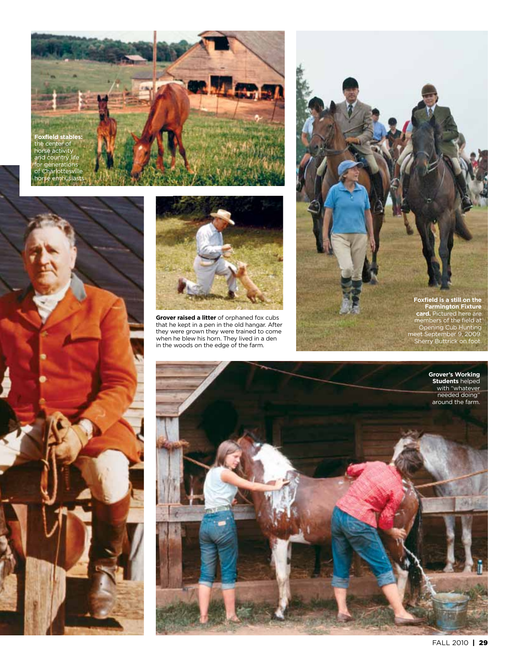





**Grover raised a litter** of orphaned fox cubs that he kept in a pen in the old hangar. After they were grown they were trained to come when he blew his horn. They lived in a den in the woods on the edge of the farm.



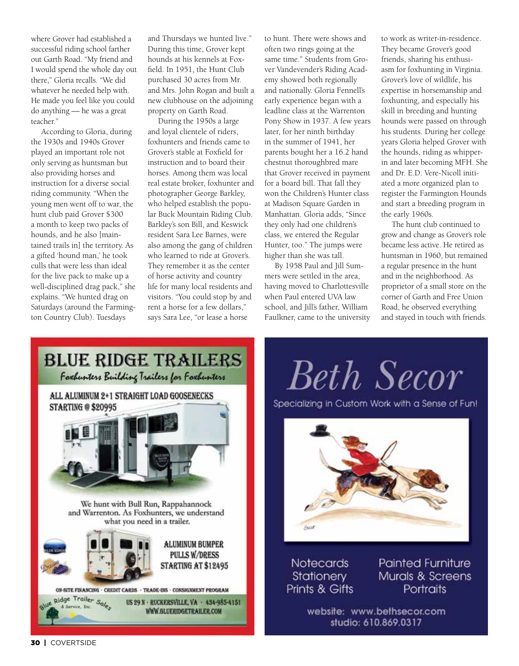where Grover had established a successful riding school farther out Garth Road. "My friend and I would spend the whole day out there," Gloria recalls. "We did whatever he needed help with. He made you feel like you could do anything — he was a great teacher."

According to Gloria, during the 1930s and 1940s Grover played an important role not only serving as huntsman but also providing horses and instruction for a diverse social riding community. "When the young men went off to war, the hunt club paid Grover \$300 a month to keep two packs of hounds, and he also [maintained trails in] the territory. As a gifted 'hound man,' he took culls that were less than ideal for the live pack to make up a well-disciplined drag pack," she explains. "We hunted drag on Saturdays (around the Farmington Country Club). Tuesdays

and Thursdays we hunted live." During this time, Grover kept hounds at his kennels at Foxfield. In 1951, the Hunt Club purchased 30 acres from Mr. and Mrs. John Rogan and built a new clubhouse on the adjoining property on Garth Road.

During the 1950s a large and loyal clientele of riders, foxhunters and friends came to Grover's stable at Foxfield for instruction and to board their horses. Among them was local real estate broker, foxhunter and photographer George Barkley, who helped establish the popular Buck Mountain Riding Club. Barkley's son Bill, and Keswick resident Sara Lee Barnes, were also among the gang of children who learned to ride at Grover's. They remember it as the center of horse activity and country life for many local residents and visitors. "You could stop by and rent a horse for a few dollars," says Sara Lee, "or lease a horse

to hunt. There were shows and often two rings going at the same time." Students from Grover Vandevender's Riding Academy showed both regionally and nationally. Gloria Fennell's early experience began with a leadline class at the Warrenton Pony Show in 1937. A few years later, for her ninth birthday in the summer of 1941, her parents bought her a 16.2 hand chestnut thoroughbred mare that Grover received in payment for a board bill. That fall they won the Children's Hunter class at Madison Square Garden in Manhattan. Gloria adds, "Since they only had one children's class, we entered the Regular Hunter, too." The jumps were higher than she was tall.

By 1958 Paul and Jill Summers were settled in the area, having moved to Charlottesville when Paul entered UVA law school, and Jill's father, William Faulkner, came to the university to work as writer-in-residence. They became Grover's good friends, sharing his enthusiasm for foxhunting in Virginia. Grover's love of wildlife, his expertise in horsemanship and foxhunting, and especially his skill in breeding and hunting hounds were passed on through his students. During her college years Gloria helped Grover with the hounds, riding as whipperin and later becoming MFH. She and Dr. E.D. Vere-Nicoll initiated a more organized plan to register the Farmington Hounds and start a breeding program in the early 1960s.

The hunt club continued to grow and change as Grover's role became less active. He retired as huntsman in 1960, but remained a regular presence in the hunt and in the neighborhood. As proprietor of a small store on the corner of Garth and Free Union Road, he observed everything and stayed in touch with friends.



**Beth Secor** 

Specializing in Custom Work with a Sense of Fun!



Notecards Stationery Prints & Gifts **Painted Furniture** Murals & Screens Portraits

website: www.bethsecor.com studio: 610.869.0317